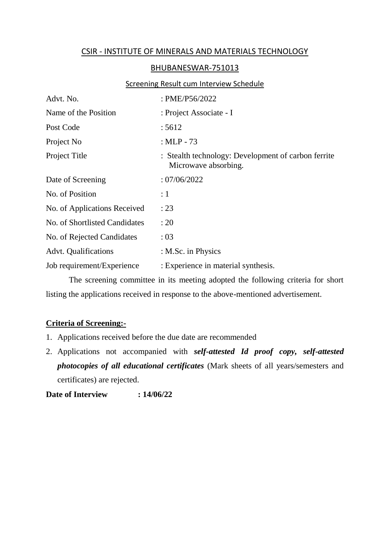## CSIR - INSTITUTE OF MINERALS AND MATERIALS TECHNOLOGY

## BHUBANESWAR-751013

## **Screening Result cum Interview Schedule**

| Advt. No.                     | : PME/P56/2022                                                              |
|-------------------------------|-----------------------------------------------------------------------------|
| Name of the Position          | : Project Associate - I                                                     |
| Post Code                     | : 5612                                                                      |
| Project No                    | : $MLP - 73$                                                                |
| Project Title                 | : Stealth technology: Development of carbon ferrite<br>Microwave absorbing. |
| Date of Screening             | :07/06/2022                                                                 |
| No. of Position               | $\colon 1$                                                                  |
| No. of Applications Received  | : 23                                                                        |
| No. of Shortlisted Candidates | : 20                                                                        |
| No. of Rejected Candidates    | :03                                                                         |
| <b>Advt.</b> Qualifications   | : M.Sc. in Physics                                                          |
| Job requirement/Experience    | : Experience in material synthesis.                                         |

The screening committee in its meeting adopted the following criteria for short listing the applications received in response to the above-mentioned advertisement.

## **Criteria of Screening:-**

- 1. Applications received before the due date are recommended
- 2. Applications not accompanied with *self-attested Id proof copy, self-attested photocopies of all educational certificates* (Mark sheets of all years/semesters and certificates) are rejected.

**Date of Interview : 14/06/22**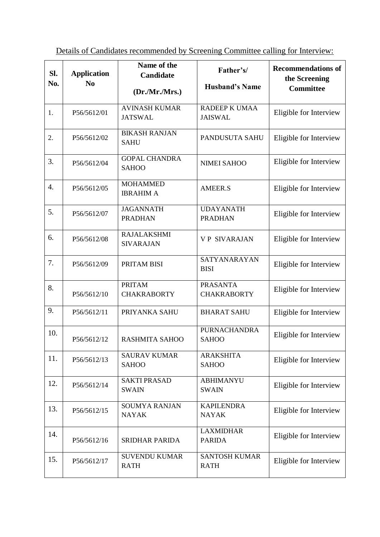Details of Candidates recommended by Screening Committee calling for Interview:

| Sl.<br>No.       | <b>Application</b><br>N <sub>0</sub> | Name of the<br>Candidate<br>(Dr./Mr./Mrs.) | Father's/<br><b>Husband's Name</b>    | <b>Recommendations of</b><br>the Screening<br><b>Committee</b> |
|------------------|--------------------------------------|--------------------------------------------|---------------------------------------|----------------------------------------------------------------|
| 1.               | P56/5612/01                          | <b>AVINASH KUMAR</b><br><b>JATSWAL</b>     | RADEEP K UMAA<br><b>JAISWAL</b>       | Eligible for Interview                                         |
| 2.               | P56/5612/02                          | <b>BIKASH RANJAN</b><br><b>SAHU</b>        | PANDUSUTA SAHU                        | Eligible for Interview                                         |
| 3.               | P56/5612/04                          | <b>GOPAL CHANDRA</b><br><b>SAHOO</b>       | <b>NIMEI SAHOO</b>                    | Eligible for Interview                                         |
| $\overline{4}$ . | P56/5612/05                          | <b>MOHAMMED</b><br><b>IBRAHIM A</b>        | <b>AMEER.S</b>                        | Eligible for Interview                                         |
| 5.               | P56/5612/07                          | <b>JAGANNATH</b><br><b>PRADHAN</b>         | <b>UDAYANATH</b><br><b>PRADHAN</b>    | Eligible for Interview                                         |
| 6.               | P56/5612/08                          | <b>RAJALAKSHMI</b><br><b>SIVARAJAN</b>     | <b>VP SIVARAJAN</b>                   | Eligible for Interview                                         |
| 7.               | P56/5612/09                          | PRITAM BISI                                | SATYANARAYAN<br><b>BISI</b>           | Eligible for Interview                                         |
| 8.               | P56/5612/10                          | <b>PRITAM</b><br><b>CHAKRABORTY</b>        | <b>PRASANTA</b><br><b>CHAKRABORTY</b> | Eligible for Interview                                         |
| 9.               | P56/5612/11                          | PRIYANKA SAHU                              | <b>BHARAT SAHU</b>                    | Eligible for Interview                                         |
| 10.              | P56/5612/12                          | RASHMITA SAHOO                             | <b>PURNACHANDRA</b><br><b>SAHOO</b>   | Eligible for Interview                                         |
| 11.              | P56/5612/13                          | <b>SAURAV KUMAR</b><br><b>SAHOO</b>        | <b>ARAKSHITA</b><br><b>SAHOO</b>      | Eligible for Interview                                         |
| 12.              | P56/5612/14                          | <b>SAKTI PRASAD</b><br><b>SWAIN</b>        | <b>ABHIMANYU</b><br><b>SWAIN</b>      | Eligible for Interview                                         |
| 13.              | P56/5612/15                          | <b>SOUMYA RANJAN</b><br><b>NAYAK</b>       | <b>KAPILENDRA</b><br><b>NAYAK</b>     | Eligible for Interview                                         |
| 14.              | P56/5612/16                          | <b>SRIDHAR PARIDA</b>                      | <b>LAXMIDHAR</b><br><b>PARIDA</b>     | Eligible for Interview                                         |
| 15.              | P56/5612/17                          | <b>SUVENDU KUMAR</b><br><b>RATH</b>        | <b>SANTOSH KUMAR</b><br><b>RATH</b>   | Eligible for Interview                                         |